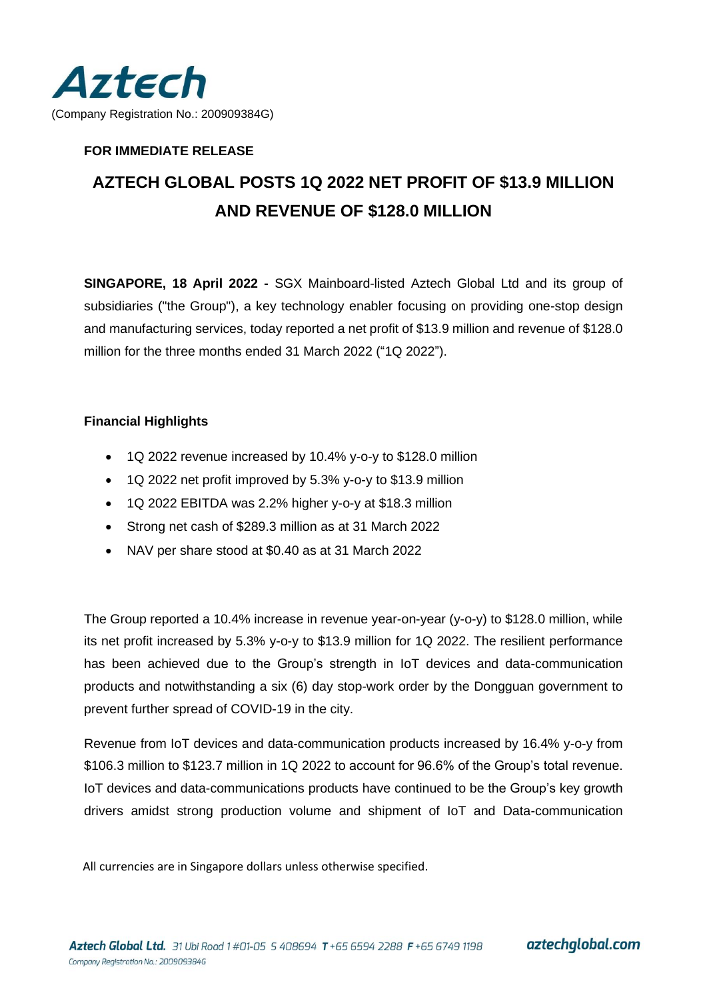

# **FOR IMMEDIATE RELEASE**

# **AZTECH GLOBAL POSTS 1Q 2022 NET PROFIT OF \$13.9 MILLION AND REVENUE OF \$128.0 MILLION**

**SINGAPORE, 18 April 2022 -** SGX Mainboard-listed Aztech Global Ltd and its group of subsidiaries ("the Group"), a key technology enabler focusing on providing one-stop design and manufacturing services, today reported a net profit of \$13.9 million and revenue of \$128.0 million for the three months ended 31 March 2022 ("1Q 2022").

# **Financial Highlights**

- 1Q 2022 revenue increased by 10.4% y-o-y to \$128.0 million
- 1Q 2022 net profit improved by 5.3% y-o-y to \$13.9 million
- 1Q 2022 EBITDA was 2.2% higher y-o-y at \$18.3 million
- Strong net cash of \$289.3 million as at 31 March 2022
- NAV per share stood at \$0.40 as at 31 March 2022

The Group reported a 10.4% increase in revenue year-on-year (y-o-y) to \$128.0 million, while its net profit increased by 5.3% y-o-y to \$13.9 million for 1Q 2022. The resilient performance has been achieved due to the Group's strength in IoT devices and data-communication products and notwithstanding a six (6) day stop-work order by the Dongguan government to prevent further spread of COVID-19 in the city.

Revenue from IoT devices and data-communication products increased by 16.4% y-o-y from \$106.3 million to \$123.7 million in 1Q 2022 to account for 96.6% of the Group's total revenue. IoT devices and data-communications products have continued to be the Group's key growth drivers amidst strong production volume and shipment of IoT and Data-communication

All currencies are in Singapore dollars unless otherwise specified.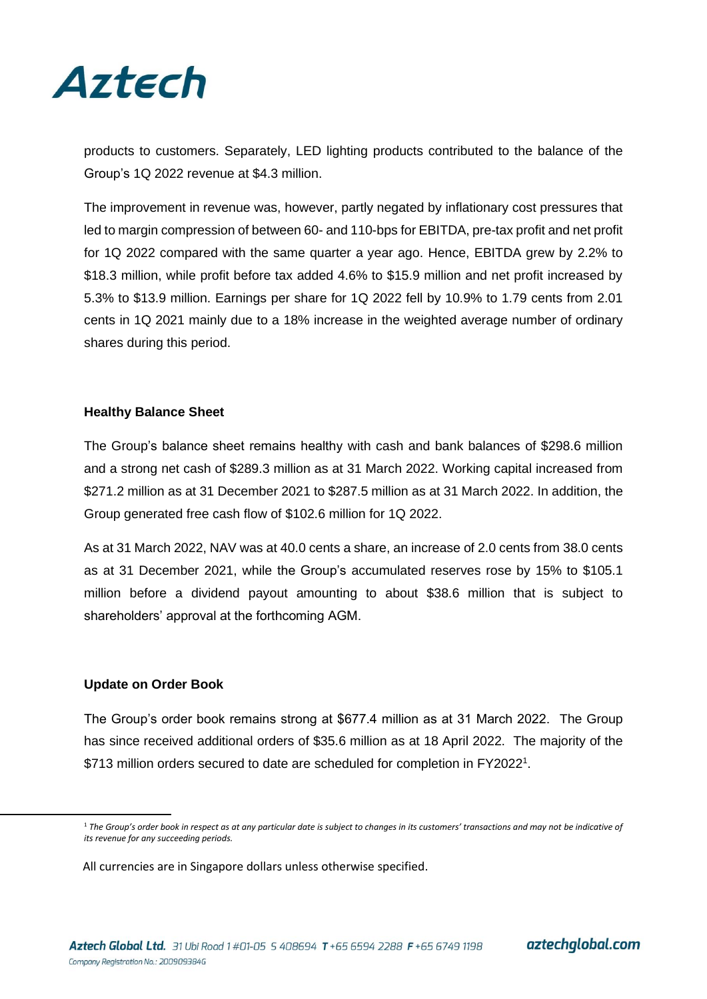

products to customers. Separately, LED lighting products contributed to the balance of the Group's 1Q 2022 revenue at \$4.3 million.

The improvement in revenue was, however, partly negated by inflationary cost pressures that led to margin compression of between 60- and 110-bps for EBITDA, pre-tax profit and net profit for 1Q 2022 compared with the same quarter a year ago. Hence, EBITDA grew by 2.2% to \$18.3 million, while profit before tax added 4.6% to \$15.9 million and net profit increased by 5.3% to \$13.9 million. Earnings per share for 1Q 2022 fell by 10.9% to 1.79 cents from 2.01 cents in 1Q 2021 mainly due to a 18% increase in the weighted average number of ordinary shares during this period.

## **Healthy Balance Sheet**

The Group's balance sheet remains healthy with cash and bank balances of \$298.6 million and a strong net cash of \$289.3 million as at 31 March 2022. Working capital increased from \$271.2 million as at 31 December 2021 to \$287.5 million as at 31 March 2022. In addition, the Group generated free cash flow of \$102.6 million for 1Q 2022.

As at 31 March 2022, NAV was at 40.0 cents a share, an increase of 2.0 cents from 38.0 cents as at 31 December 2021, while the Group's accumulated reserves rose by 15% to \$105.1 million before a dividend payout amounting to about \$38.6 million that is subject to shareholders' approval at the forthcoming AGM.

#### **Update on Order Book**

The Group's order book remains strong at \$677.4 million as at 31 March 2022. The Group has since received additional orders of \$35.6 million as at 18 April 2022. The majority of the \$713 million orders secured to date are scheduled for completion in FY2022<sup>1</sup>.

<sup>&</sup>lt;sup>1</sup> The Group's order book in respect as at any particular date is subject to changes in its customers' transactions and may not be indicative of *its revenue for any succeeding periods.* 

All currencies are in Singapore dollars unless otherwise specified.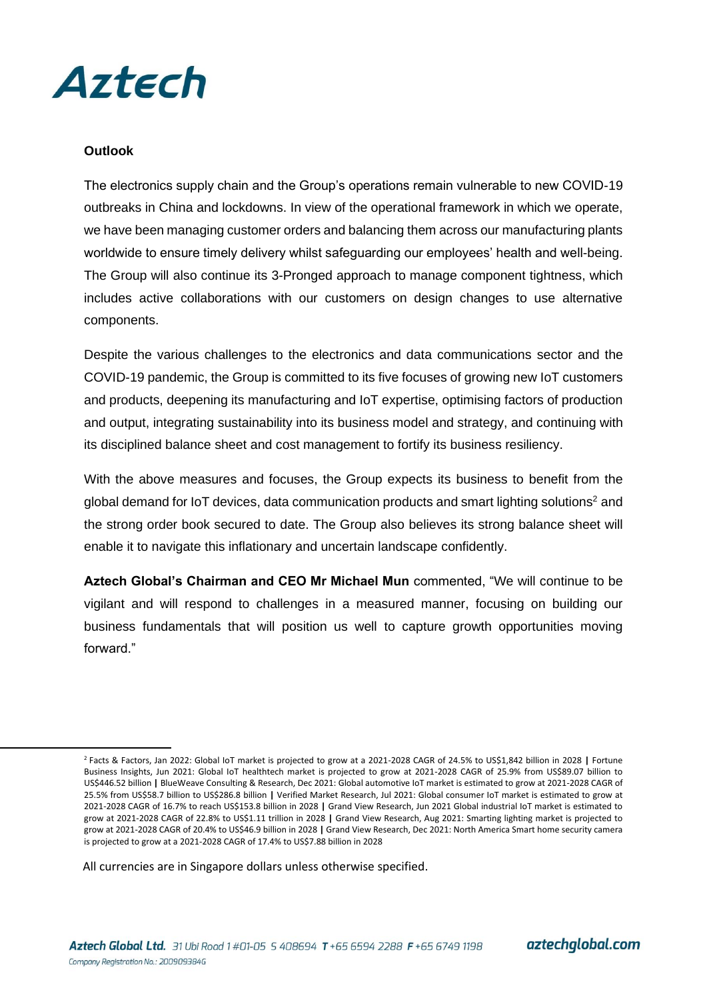

## **Outlook**

The electronics supply chain and the Group's operations remain vulnerable to new COVID-19 outbreaks in China and lockdowns. In view of the operational framework in which we operate, we have been managing customer orders and balancing them across our manufacturing plants worldwide to ensure timely delivery whilst safeguarding our employees' health and well-being. The Group will also continue its 3-Pronged approach to manage component tightness, which includes active collaborations with our customers on design changes to use alternative components.

Despite the various challenges to the electronics and data communications sector and the COVID-19 pandemic, the Group is committed to its five focuses of growing new IoT customers and products, deepening its manufacturing and IoT expertise, optimising factors of production and output, integrating sustainability into its business model and strategy, and continuing with its disciplined balance sheet and cost management to fortify its business resiliency.

With the above measures and focuses, the Group expects its business to benefit from the global demand for IoT devices, data communication products and smart lighting solutions<sup>2</sup> and the strong order book secured to date. The Group also believes its strong balance sheet will enable it to navigate this inflationary and uncertain landscape confidently.

**Aztech Global's Chairman and CEO Mr Michael Mun** commented, "We will continue to be vigilant and will respond to challenges in a measured manner, focusing on building our business fundamentals that will position us well to capture growth opportunities moving forward."

All currencies are in Singapore dollars unless otherwise specified.

<sup>2</sup> Facts & Factors, Jan 2022: Global IoT market is projected to grow at a 2021-2028 CAGR of 24.5% to US\$1,842 billion in 2028 **|** Fortune Business Insights, Jun 2021: Global IoT healthtech market is projected to grow at 2021-2028 CAGR of 25.9% from US\$89.07 billion to US\$446.52 billion **|** BlueWeave Consulting & Research, Dec 2021: Global automotive IoT market is estimated to grow at 2021-2028 CAGR of 25.5% from US\$58.7 billion to US\$286.8 billion **|** Verified Market Research, Jul 2021: Global consumer IoT market is estimated to grow at 2021-2028 CAGR of 16.7% to reach US\$153.8 billion in 2028 **|** Grand View Research, Jun 2021 Global industrial IoT market is estimated to grow at 2021-2028 CAGR of 22.8% to US\$1.11 trillion in 2028 **|** Grand View Research, Aug 2021: Smarting lighting market is projected to grow at 2021-2028 CAGR of 20.4% to US\$46.9 billion in 2028 **|** Grand View Research, Dec 2021: North America Smart home security camera is projected to grow at a 2021-2028 CAGR of 17.4% to US\$7.88 billion in 2028